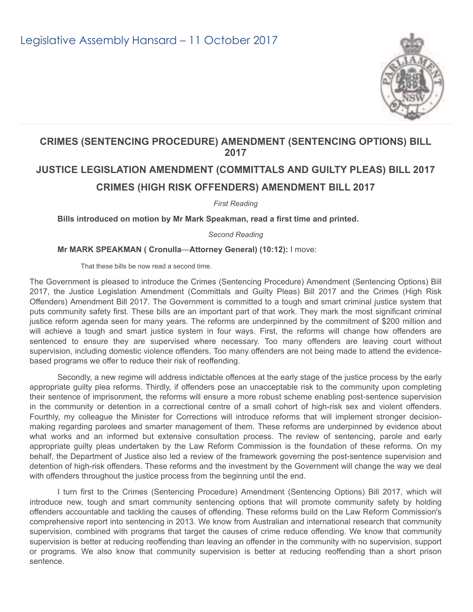

## **CRIMES (SENTENCING PROCEDURE) AMENDMENT (SENTENCING OPTIONS) BILL 2017**

## **JUSTICE LEGISLATION AMENDMENT (COMMITTALS AND GUILTY PLEAS) BILL 2017 CRIMES (HIGH RISK OFFENDERS) AMENDMENT BILL 2017**

*First Reading*

**Bills introduced on motion by Mr Mark Speakman, read a first time and printed.**

*Second Reading*

**Mr MARK SPEAKMAN ( Cronulla**—**Attorney General) (10:12):** I move:

That these bills be now read a second time.

The Government is pleased to introduce the Crimes (Sentencing Procedure) Amendment (Sentencing Options) Bill 2017, the Justice Legislation Amendment (Committals and Guilty Pleas) Bill 2017 and the Crimes (High Risk Offenders) Amendment Bill 2017. The Government is committed to a tough and smart criminal justice system that puts community safety first. These bills are an important part of that work. They mark the most significant criminal justice reform agenda seen for many years. The reforms are underpinned by the commitment of \$200 million and will achieve a tough and smart justice system in four ways. First, the reforms will change how offenders are sentenced to ensure they are supervised where necessary. Too many offenders are leaving court without supervision, including domestic violence offenders. Too many offenders are not being made to attend the evidencebased programs we offer to reduce their risk of reoffending.

Secondly, a new regime will address indictable offences at the early stage of the justice process by the early appropriate guilty plea reforms. Thirdly, if offenders pose an unacceptable risk to the community upon completing their sentence of imprisonment, the reforms will ensure a more robust scheme enabling post-sentence supervision in the community or detention in a correctional centre of a small cohort of high-risk sex and violent offenders. Fourthly, my colleague the Minister for Corrections will introduce reforms that will implement stronger decisionmaking regarding parolees and smarter management of them. These reforms are underpinned by evidence about what works and an informed but extensive consultation process. The review of sentencing, parole and early appropriate guilty pleas undertaken by the Law Reform Commission is the foundation of these reforms. On my behalf, the Department of Justice also led a review of the framework governing the post-sentence supervision and detention of high-risk offenders. These reforms and the investment by the Government will change the way we deal with offenders throughout the justice process from the beginning until the end.

I turn first to the Crimes (Sentencing Procedure) Amendment (Sentencing Options) Bill 2017, which will introduce new, tough and smart community sentencing options that will promote community safety by holding offenders accountable and tackling the causes of offending. These reforms build on the Law Reform Commission's comprehensive report into sentencing in 2013. We know from Australian and international research that community supervision, combined with programs that target the causes of crime reduce offending. We know that community supervision is better at reducing reoffending than leaving an offender in the community with no supervision, support or programs. We also know that community supervision is better at reducing reoffending than a short prison sentence.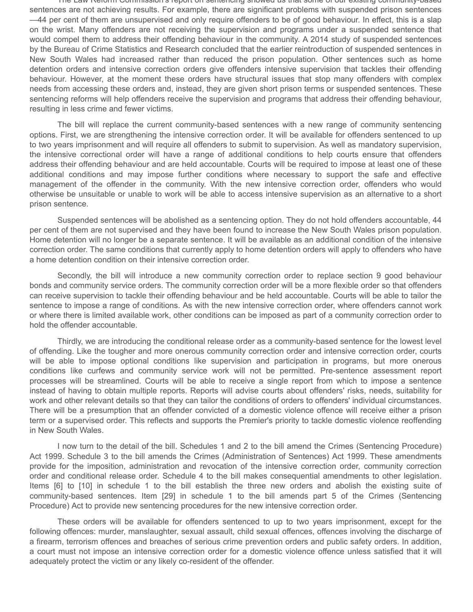The Law Reform Commission's report on sentencing showed us that some of our existing community!based sentences are not achieving results. For example, there are significant problems with suspended prison sentences —44 per cent of them are unsupervised and only require offenders to be of good behaviour. In effect, this is a slap on the wrist. Many offenders are not receiving the supervision and programs under a suspended sentence that would compel them to address their offending behaviour in the community. A 2014 study of suspended sentences by the Bureau of Crime Statistics and Research concluded that the earlier reintroduction of suspended sentences in New South Wales had increased rather than reduced the prison population. Other sentences such as home detention orders and intensive correction orders give offenders intensive supervision that tackles their offending behaviour. However, at the moment these orders have structural issues that stop many offenders with complex needs from accessing these orders and, instead, they are given short prison terms or suspended sentences. These sentencing reforms will help offenders receive the supervision and programs that address their offending behaviour, resulting in less crime and fewer victims.

The bill will replace the current community-based sentences with a new range of community sentencing options. First, we are strengthening the intensive correction order. It will be available for offenders sentenced to up to two years imprisonment and will require all offenders to submit to supervision. As well as mandatory supervision, the intensive correctional order will have a range of additional conditions to help courts ensure that offenders address their offending behaviour and are held accountable. Courts will be required to impose at least one of these additional conditions and may impose further conditions where necessary to support the safe and effective management of the offender in the community. With the new intensive correction order, offenders who would otherwise be unsuitable or unable to work will be able to access intensive supervision as an alternative to a short prison sentence.

Suspended sentences will be abolished as a sentencing option. They do not hold offenders accountable, 44 per cent of them are not supervised and they have been found to increase the New South Wales prison population. Home detention will no longer be a separate sentence. It will be available as an additional condition of the intensive correction order. The same conditions that currently apply to home detention orders will apply to offenders who have a home detention condition on their intensive correction order.

Secondly, the bill will introduce a new community correction order to replace section 9 good behaviour bonds and community service orders. The community correction order will be a more flexible order so that offenders can receive supervision to tackle their offending behaviour and be held accountable. Courts will be able to tailor the sentence to impose a range of conditions. As with the new intensive correction order, where offenders cannot work or where there is limited available work, other conditions can be imposed as part of a community correction order to hold the offender accountable.

Thirdly, we are introducing the conditional release order as a community-based sentence for the lowest level of offending. Like the tougher and more onerous community correction order and intensive correction order, courts will be able to impose optional conditions like supervision and participation in programs, but more onerous conditions like curfews and community service work will not be permitted. Pre-sentence assessment report processes will be streamlined. Courts will be able to receive a single report from which to impose a sentence instead of having to obtain multiple reports. Reports will advise courts about offenders' risks, needs, suitability for work and other relevant details so that they can tailor the conditions of orders to offenders' individual circumstances. There will be a presumption that an offender convicted of a domestic violence offence will receive either a prison term or a supervised order. This reflects and supports the Premier's priority to tackle domestic violence reoffending in New South Wales.

I now turn to the detail of the bill. Schedules 1 and 2 to the bill amend the Crimes (Sentencing Procedure) Act 1999. Schedule 3 to the bill amends the Crimes (Administration of Sentences) Act 1999. These amendments provide for the imposition, administration and revocation of the intensive correction order, community correction order and conditional release order. Schedule 4 to the bill makes consequential amendments to other legislation. Items [6] to [10] in schedule 1 to the bill establish the three new orders and abolish the existing suite of community-based sentences. Item [29] in schedule 1 to the bill amends part 5 of the Crimes (Sentencing Procedure) Act to provide new sentencing procedures for the new intensive correction order.

These orders will be available for offenders sentenced to up to two years imprisonment, except for the following offences: murder, manslaughter, sexual assault, child sexual offences, offences involving the discharge of a firearm, terrorism offences and breaches of serious crime prevention orders and public safety orders. In addition, a court must not impose an intensive correction order for a domestic violence offence unless satisfied that it will adequately protect the victim or any likely co-resident of the offender.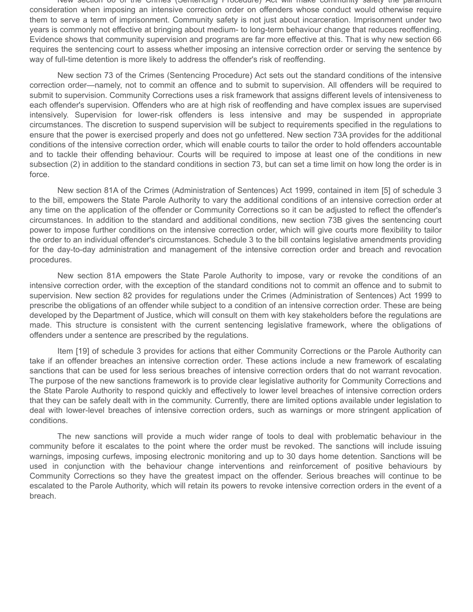New section 66 of the Crimes (Sentencing Procedure) Act will make community safety the paramount consideration when imposing an intensive correction order on offenders whose conduct would otherwise require them to serve a term of imprisonment. Community safety is not just about incarceration. Imprisonment under two years is commonly not effective at bringing about medium- to long-term behaviour change that reduces reoffending. Evidence shows that community supervision and programs are far more effective at this. That is why new section 66 requires the sentencing court to assess whether imposing an intensive correction order or serving the sentence by way of full-time detention is more likely to address the offender's risk of reoffending.

New section 73 of the Crimes (Sentencing Procedure) Act sets out the standard conditions of the intensive correction order—namely, not to commit an offence and to submit to supervision. All offenders will be required to submit to supervision. Community Corrections uses a risk framework that assigns different levels of intensiveness to each offender's supervision. Offenders who are at high risk of reoffending and have complex issues are supervised intensively. Supervision for lower-risk offenders is less intensive and may be suspended in appropriate circumstances. The discretion to suspend supervision will be subject to requirements specified in the regulations to ensure that the power is exercised properly and does not go unfettered. New section 73A provides for the additional conditions of the intensive correction order, which will enable courts to tailor the order to hold offenders accountable and to tackle their offending behaviour. Courts will be required to impose at least one of the conditions in new subsection (2) in addition to the standard conditions in section 73, but can set a time limit on how long the order is in force.

New section 81A of the Crimes (Administration of Sentences) Act 1999, contained in item [5] of schedule 3 to the bill, empowers the State Parole Authority to vary the additional conditions of an intensive correction order at any time on the application of the offender or Community Corrections so it can be adjusted to reflect the offender's circumstances. In addition to the standard and additional conditions, new section 73B gives the sentencing court power to impose further conditions on the intensive correction order, which will give courts more flexibility to tailor the order to an individual offender's circumstances. Schedule 3 to the bill contains legislative amendments providing for the day-to-day administration and management of the intensive correction order and breach and revocation procedures.

New section 81A empowers the State Parole Authority to impose, vary or revoke the conditions of an intensive correction order, with the exception of the standard conditions not to commit an offence and to submit to supervision. New section 82 provides for regulations under the Crimes (Administration of Sentences) Act 1999 to prescribe the obligations of an offender while subject to a condition of an intensive correction order. These are being developed by the Department of Justice, which will consult on them with key stakeholders before the regulations are made. This structure is consistent with the current sentencing legislative framework, where the obligations of offenders under a sentence are prescribed by the regulations.

Item [19] of schedule 3 provides for actions that either Community Corrections or the Parole Authority can take if an offender breaches an intensive correction order. These actions include a new framework of escalating sanctions that can be used for less serious breaches of intensive correction orders that do not warrant revocation. The purpose of the new sanctions framework is to provide clear legislative authority for Community Corrections and the State Parole Authority to respond quickly and effectively to lower level breaches of intensive correction orders that they can be safely dealt with in the community. Currently, there are limited options available under legislation to deal with lower-level breaches of intensive correction orders, such as warnings or more stringent application of conditions.

The new sanctions will provide a much wider range of tools to deal with problematic behaviour in the community before it escalates to the point where the order must be revoked. The sanctions will include issuing warnings, imposing curfews, imposing electronic monitoring and up to 30 days home detention. Sanctions will be used in conjunction with the behaviour change interventions and reinforcement of positive behaviours by Community Corrections so they have the greatest impact on the offender. Serious breaches will continue to be escalated to the Parole Authority, which will retain its powers to revoke intensive correction orders in the event of a breach.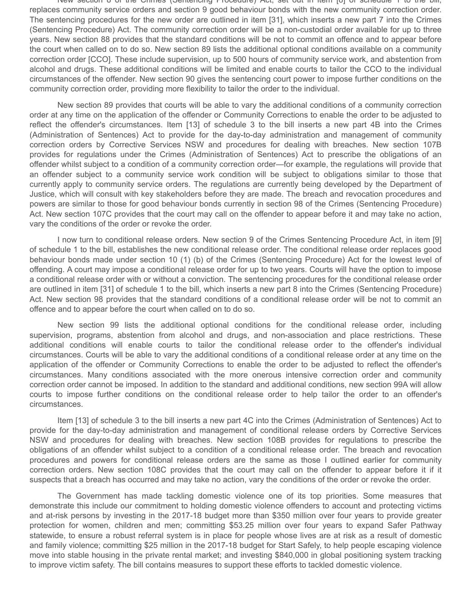New section 8 of the Crimes (Sentencing Procedure) Act, set out in item [8] of schedule 1 to the bill, replaces community service orders and section 9 good behaviour bonds with the new community correction order. The sentencing procedures for the new order are outlined in item [31], which inserts a new part 7 into the Crimes (Sentencing Procedure) Act. The community correction order will be a non-custodial order available for up to three years. New section 88 provides that the standard conditions will be not to commit an offence and to appear before the court when called on to do so. New section 89 lists the additional optional conditions available on a community correction order [CCO]. These include supervision, up to 500 hours of community service work, and abstention from alcohol and drugs. These additional conditions will be limited and enable courts to tailor the CCO to the individual circumstances of the offender. New section 90 gives the sentencing court power to impose further conditions on the community correction order, providing more flexibility to tailor the order to the individual.

New section 89 provides that courts will be able to vary the additional conditions of a community correction order at any time on the application of the offender or Community Corrections to enable the order to be adjusted to reflect the offender's circumstances. Item [13] of schedule 3 to the bill inserts a new part 4B into the Crimes (Administration of Sentences) Act to provide for the day-to-day administration and management of community correction orders by Corrective Services NSW and procedures for dealing with breaches. New section 107B provides for regulations under the Crimes (Administration of Sentences) Act to prescribe the obligations of an offender whilst subject to a condition of a community correction order—for example, the regulations will provide that an offender subject to a community service work condition will be subject to obligations similar to those that currently apply to community service orders. The regulations are currently being developed by the Department of Justice, which will consult with key stakeholders before they are made. The breach and revocation procedures and powers are similar to those for good behaviour bonds currently in section 98 of the Crimes (Sentencing Procedure) Act. New section 107C provides that the court may call on the offender to appear before it and may take no action, vary the conditions of the order or revoke the order.

I now turn to conditional release orders. New section 9 of the Crimes Sentencing Procedure Act, in item [9] of schedule 1 to the bill, establishes the new conditional release order. The conditional release order replaces good behaviour bonds made under section 10 (1) (b) of the Crimes (Sentencing Procedure) Act for the lowest level of offending. A court may impose a conditional release order for up to two years. Courts will have the option to impose a conditional release order with or without a conviction. The sentencing procedures for the conditional release order are outlined in item [31] of schedule 1 to the bill, which inserts a new part 8 into the Crimes (Sentencing Procedure) Act. New section 98 provides that the standard conditions of a conditional release order will be not to commit an offence and to appear before the court when called on to do so.

New section 99 lists the additional optional conditions for the conditional release order, including supervision, programs, abstention from alcohol and drugs, and non-association and place restrictions. These additional conditions will enable courts to tailor the conditional release order to the offender's individual circumstances. Courts will be able to vary the additional conditions of a conditional release order at any time on the application of the offender or Community Corrections to enable the order to be adjusted to reflect the offender's circumstances. Many conditions associated with the more onerous intensive correction order and community correction order cannot be imposed. In addition to the standard and additional conditions, new section 99A will allow courts to impose further conditions on the conditional release order to help tailor the order to an offender's circumstances.

Item [13] of schedule 3 to the bill inserts a new part 4C into the Crimes (Administration of Sentences) Act to provide for the day-to-day administration and management of conditional release orders by Corrective Services NSW and procedures for dealing with breaches. New section 108B provides for regulations to prescribe the obligations of an offender whilst subject to a condition of a conditional release order. The breach and revocation procedures and powers for conditional release orders are the same as those I outlined earlier for community correction orders. New section 108C provides that the court may call on the offender to appear before it if it suspects that a breach has occurred and may take no action, vary the conditions of the order or revoke the order.

The Government has made tackling domestic violence one of its top priorities. Some measures that demonstrate this include our commitment to holding domestic violence offenders to account and protecting victims and at-risk persons by investing in the 2017-18 budget more than \$350 million over four years to provide greater protection for women, children and men; committing \$53.25 million over four years to expand Safer Pathway statewide, to ensure a robust referral system is in place for people whose lives are at risk as a result of domestic and family violence; committing \$25 million in the 2017-18 budget for Start Safely, to help people escaping violence move into stable housing in the private rental market; and investing \$840,000 in global positioning system tracking to improve victim safety. The bill contains measures to support these efforts to tackled domestic violence.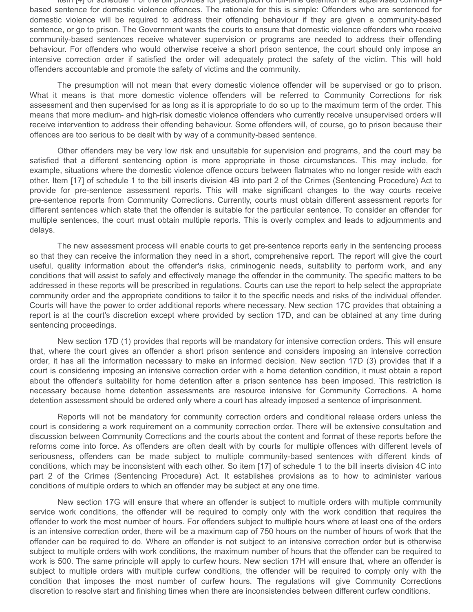Item [4] of schedule 1 of the bill provides for presumption of full-time detention or a supervised communitybased sentence for domestic violence offences. The rationale for this is simple: Offenders who are sentenced for domestic violence will be required to address their offending behaviour if they are given a community-based sentence, or go to prison. The Government wants the courts to ensure that domestic violence offenders who receive community-based sentences receive whatever supervision or programs are needed to address their offending behaviour. For offenders who would otherwise receive a short prison sentence, the court should only impose an intensive correction order if satisfied the order will adequately protect the safety of the victim. This will hold offenders accountable and promote the safety of victims and the community.

The presumption will not mean that every domestic violence offender will be supervised or go to prison. What it means is that more domestic violence offenders will be referred to Community Corrections for risk assessment and then supervised for as long as it is appropriate to do so up to the maximum term of the order. This means that more medium- and high-risk domestic violence offenders who currently receive unsupervised orders will receive intervention to address their offending behaviour. Some offenders will, of course, go to prison because their offences are too serious to be dealt with by way of a community-based sentence.

Other offenders may be very low risk and unsuitable for supervision and programs, and the court may be satisfied that a different sentencing option is more appropriate in those circumstances. This may include, for example, situations where the domestic violence offence occurs between flatmates who no longer reside with each other. Item [17] of schedule 1 to the bill inserts division 4B into part 2 of the Crimes (Sentencing Procedure) Act to provide for pre-sentence assessment reports. This will make significant changes to the way courts receive pre-sentence reports from Community Corrections. Currently, courts must obtain different assessment reports for different sentences which state that the offender is suitable for the particular sentence. To consider an offender for multiple sentences, the court must obtain multiple reports. This is overly complex and leads to adjournments and delays.

The new assessment process will enable courts to get pre-sentence reports early in the sentencing process so that they can receive the information they need in a short, comprehensive report. The report will give the court useful, quality information about the offender's risks, criminogenic needs, suitability to perform work, and any conditions that will assist to safely and effectively manage the offender in the community. The specific matters to be addressed in these reports will be prescribed in regulations. Courts can use the report to help select the appropriate community order and the appropriate conditions to tailor it to the specific needs and risks of the individual offender. Courts will have the power to order additional reports where necessary. New section 17C provides that obtaining a report is at the court's discretion except where provided by section 17D, and can be obtained at any time during sentencing proceedings.

New section 17D (1) provides that reports will be mandatory for intensive correction orders. This will ensure that, where the court gives an offender a short prison sentence and considers imposing an intensive correction order, it has all the information necessary to make an informed decision. New section 17D (3) provides that if a court is considering imposing an intensive correction order with a home detention condition, it must obtain a report about the offender's suitability for home detention after a prison sentence has been imposed. This restriction is necessary because home detention assessments are resource intensive for Community Corrections. A home detention assessment should be ordered only where a court has already imposed a sentence of imprisonment.

Reports will not be mandatory for community correction orders and conditional release orders unless the court is considering a work requirement on a community correction order. There will be extensive consultation and discussion between Community Corrections and the courts about the content and format of these reports before the reforms come into force. As offenders are often dealt with by courts for multiple offences with different levels of seriousness, offenders can be made subject to multiple community-based sentences with different kinds of conditions, which may be inconsistent with each other. So item [17] of schedule 1 to the bill inserts division 4C into part 2 of the Crimes (Sentencing Procedure) Act. It establishes provisions as to how to administer various conditions of multiple orders to which an offender may be subject at any one time.

New section 17G will ensure that where an offender is subject to multiple orders with multiple community service work conditions, the offender will be required to comply only with the work condition that requires the offender to work the most number of hours. For offenders subject to multiple hours where at least one of the orders is an intensive correction order, there will be a maximum cap of 750 hours on the number of hours of work that the offender can be required to do. Where an offender is not subject to an intensive correction order but is otherwise subject to multiple orders with work conditions, the maximum number of hours that the offender can be required to work is 500. The same principle will apply to curfew hours. New section 17H will ensure that, where an offender is subject to multiple orders with multiple curfew conditions, the offender will be required to comply only with the condition that imposes the most number of curfew hours. The regulations will give Community Corrections discretion to resolve start and finishing times when there are inconsistencies between different curfew conditions.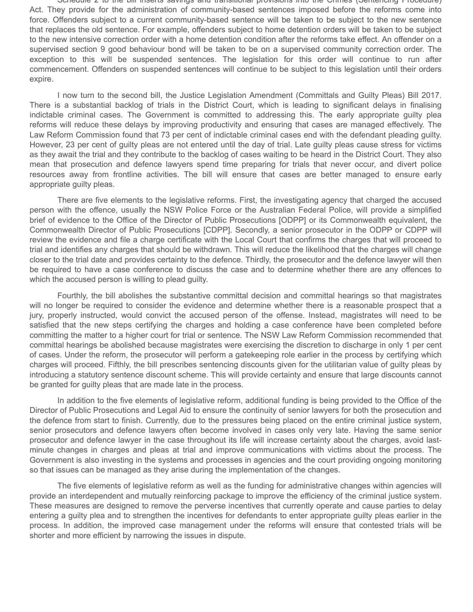Schedule 2 to the bill inserts savings and transitional provisions into the Crimes (Sentencing Procedure) Act. They provide for the administration of community-based sentences imposed before the reforms come into force. Offenders subject to a current community-based sentence will be taken to be subject to the new sentence that replaces the old sentence. For example, offenders subject to home detention orders will be taken to be subject to the new intensive correction order with a home detention condition after the reforms take effect. An offender on a supervised section 9 good behaviour bond will be taken to be on a supervised community correction order. The exception to this will be suspended sentences. The legislation for this order will continue to run after commencement. Offenders on suspended sentences will continue to be subject to this legislation until their orders expire.

I now turn to the second bill, the Justice Legislation Amendment (Committals and Guilty Pleas) Bill 2017. There is a substantial backlog of trials in the District Court, which is leading to significant delays in finalising indictable criminal cases. The Government is committed to addressing this. The early appropriate guilty plea reforms will reduce these delays by improving productivity and ensuring that cases are managed effectively. The Law Reform Commission found that 73 per cent of indictable criminal cases end with the defendant pleading guilty. However, 23 per cent of guilty pleas are not entered until the day of trial. Late guilty pleas cause stress for victims as they await the trial and they contribute to the backlog of cases waiting to be heard in the District Court. They also mean that prosecution and defence lawyers spend time preparing for trials that never occur, and divert police resources away from frontline activities. The bill will ensure that cases are better managed to ensure early appropriate guilty pleas.

There are five elements to the legislative reforms. First, the investigating agency that charged the accused person with the offence, usually the NSW Police Force or the Australian Federal Police, will provide a simplified brief of evidence to the Office of the Director of Public Prosecutions [ODPP] or its Commonwealth equivalent, the Commonwealth Director of Public Prosecutions [CDPP]. Secondly, a senior prosecutor in the ODPP or CDPP will review the evidence and file a charge certificate with the Local Court that confirms the charges that will proceed to trial and identifies any charges that should be withdrawn. This will reduce the likelihood that the charges will change closer to the trial date and provides certainty to the defence. Thirdly, the prosecutor and the defence lawyer will then be required to have a case conference to discuss the case and to determine whether there are any offences to which the accused person is willing to plead guilty.

Fourthly, the bill abolishes the substantive committal decision and committal hearings so that magistrates will no longer be required to consider the evidence and determine whether there is a reasonable prospect that a jury, properly instructed, would convict the accused person of the offense. Instead, magistrates will need to be satisfied that the new steps certifying the charges and holding a case conference have been completed before committing the matter to a higher court for trial or sentence. The NSW Law Reform Commission recommended that committal hearings be abolished because magistrates were exercising the discretion to discharge in only 1 per cent of cases. Under the reform, the prosecutor will perform a gatekeeping role earlier in the process by certifying which charges will proceed. Fifthly, the bill prescribes sentencing discounts given for the utilitarian value of guilty pleas by introducing a statutory sentence discount scheme. This will provide certainty and ensure that large discounts cannot be granted for guilty pleas that are made late in the process.

In addition to the five elements of legislative reform, additional funding is being provided to the Office of the Director of Public Prosecutions and Legal Aid to ensure the continuity of senior lawyers for both the prosecution and the defence from start to finish. Currently, due to the pressures being placed on the entire criminal justice system, senior prosecutors and defence lawyers often become involved in cases only very late. Having the same senior prosecutor and defence lawyer in the case throughout its life will increase certainty about the charges, avoid lastminute changes in charges and pleas at trial and improve communications with victims about the process. The Government is also investing in the systems and processes in agencies and the court providing ongoing monitoring so that issues can be managed as they arise during the implementation of the changes.

The five elements of legislative reform as well as the funding for administrative changes within agencies will provide an interdependent and mutually reinforcing package to improve the efficiency of the criminal justice system. These measures are designed to remove the perverse incentives that currently operate and cause parties to delay entering a guilty plea and to strengthen the incentives for defendants to enter appropriate guilty pleas earlier in the process. In addition, the improved case management under the reforms will ensure that contested trials will be shorter and more efficient by narrowing the issues in dispute.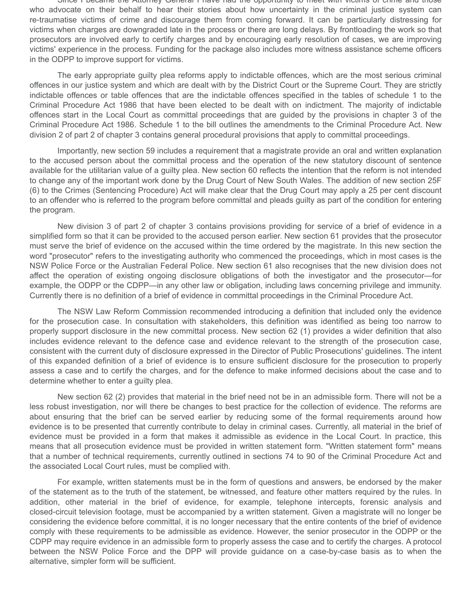Since I became the Attorney General I have had the opportunity to meet with victims of crime and those who advocate on their behalf to hear their stories about how uncertainty in the criminal justice system can re-traumatise victims of crime and discourage them from coming forward. It can be particularly distressing for victims when charges are downgraded late in the process or there are long delays. By frontloading the work so that prosecutors are involved early to certify charges and by encouraging early resolution of cases, we are improving victims' experience in the process. Funding for the package also includes more witness assistance scheme officers in the ODPP to improve support for victims.

The early appropriate guilty plea reforms apply to indictable offences, which are the most serious criminal offences in our justice system and which are dealt with by the District Court or the Supreme Court. They are strictly indictable offences or table offences that are the indictable offences specified in the tables of schedule 1 to the Criminal Procedure Act 1986 that have been elected to be dealt with on indictment. The majority of indictable offences start in the Local Court as committal proceedings that are guided by the provisions in chapter 3 of the Criminal Procedure Act 1986. Schedule 1 to the bill outlines the amendments to the Criminal Procedure Act. New division 2 of part 2 of chapter 3 contains general procedural provisions that apply to committal proceedings.

Importantly, new section 59 includes a requirement that a magistrate provide an oral and written explanation to the accused person about the committal process and the operation of the new statutory discount of sentence available for the utilitarian value of a guilty plea. New section 60 reflects the intention that the reform is not intended to change any of the important work done by the Drug Court of New South Wales. The addition of new section 25F (6) to the Crimes (Sentencing Procedure) Act will make clear that the Drug Court may apply a 25 per cent discount to an offender who is referred to the program before committal and pleads guilty as part of the condition for entering the program.

New division 3 of part 2 of chapter 3 contains provisions providing for service of a brief of evidence in a simplified form so that it can be provided to the accused person earlier. New section 61 provides that the prosecutor must serve the brief of evidence on the accused within the time ordered by the magistrate. In this new section the word "prosecutor" refers to the investigating authority who commenced the proceedings, which in most cases is the NSW Police Force or the Australian Federal Police. New section 61 also recognises that the new division does not affect the operation of existing ongoing disclosure obligations of both the investigator and the prosecutor—for example, the ODPP or the CDPP—in any other law or obligation, including laws concerning privilege and immunity. Currently there is no definition of a brief of evidence in committal proceedings in the Criminal Procedure Act.

The NSW Law Reform Commission recommended introducing a definition that included only the evidence for the prosecution case. In consultation with stakeholders, this definition was identified as being too narrow to properly support disclosure in the new committal process. New section 62 (1) provides a wider definition that also includes evidence relevant to the defence case and evidence relevant to the strength of the prosecution case, consistent with the current duty of disclosure expressed in the Director of Public Prosecutions' guidelines. The intent of this expanded definition of a brief of evidence is to ensure sufficient disclosure for the prosecution to properly assess a case and to certify the charges, and for the defence to make informed decisions about the case and to determine whether to enter a guilty plea.

New section 62 (2) provides that material in the brief need not be in an admissible form. There will not be a less robust investigation, nor will there be changes to best practice for the collection of evidence. The reforms are about ensuring that the brief can be served earlier by reducing some of the formal requirements around how evidence is to be presented that currently contribute to delay in criminal cases. Currently, all material in the brief of evidence must be provided in a form that makes it admissible as evidence in the Local Court. In practice, this means that all prosecution evidence must be provided in written statement form. "Written statement form" means that a number of technical requirements, currently outlined in sections 74 to 90 of the Criminal Procedure Act and the associated Local Court rules, must be complied with.

For example, written statements must be in the form of questions and answers, be endorsed by the maker of the statement as to the truth of the statement, be witnessed, and feature other matters required by the rules. In addition, other material in the brief of evidence, for example, telephone intercepts, forensic analysis and closed-circuit television footage, must be accompanied by a written statement. Given a magistrate will no longer be considering the evidence before committal, it is no longer necessary that the entire contents of the brief of evidence comply with these requirements to be admissible as evidence. However, the senior prosecutor in the ODPP or the CDPP may require evidence in an admissible form to properly assess the case and to certify the charges. A protocol between the NSW Police Force and the DPP will provide guidance on a case-by-case basis as to when the alternative, simpler form will be sufficient.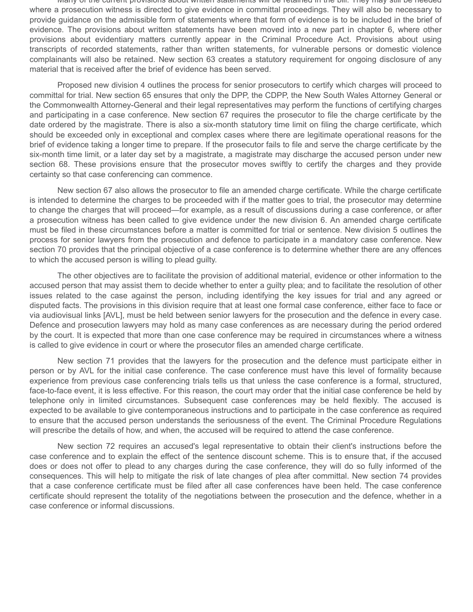Many of the current provisions about written statements will be retained in the bill. They may still be needed where a prosecution witness is directed to give evidence in committal proceedings. They will also be necessary to provide guidance on the admissible form of statements where that form of evidence is to be included in the brief of evidence. The provisions about written statements have been moved into a new part in chapter 6, where other provisions about evidentiary matters currently appear in the Criminal Procedure Act. Provisions about using transcripts of recorded statements, rather than written statements, for vulnerable persons or domestic violence complainants will also be retained. New section 63 creates a statutory requirement for ongoing disclosure of any material that is received after the brief of evidence has been served.

Proposed new division 4 outlines the process for senior prosecutors to certify which charges will proceed to committal for trial. New section 65 ensures that only the DPP, the CDPP, the New South Wales Attorney General or the Commonwealth Attorney-General and their legal representatives may perform the functions of certifying charges and participating in a case conference. New section 67 requires the prosecutor to file the charge certificate by the date ordered by the magistrate. There is also a six-month statutory time limit on filing the charge certificate, which should be exceeded only in exceptional and complex cases where there are legitimate operational reasons for the brief of evidence taking a longer time to prepare. If the prosecutor fails to file and serve the charge certificate by the six-month time limit, or a later day set by a magistrate, a magistrate may discharge the accused person under new section 68. These provisions ensure that the prosecutor moves swiftly to certify the charges and they provide certainty so that case conferencing can commence.

New section 67 also allows the prosecutor to file an amended charge certificate. While the charge certificate is intended to determine the charges to be proceeded with if the matter goes to trial, the prosecutor may determine to change the charges that will proceed—for example, as a result of discussions during a case conference, or after a prosecution witness has been called to give evidence under the new division 6. An amended charge certificate must be filed in these circumstances before a matter is committed for trial or sentence. New division 5 outlines the process for senior lawyers from the prosecution and defence to participate in a mandatory case conference. New section 70 provides that the principal objective of a case conference is to determine whether there are any offences to which the accused person is willing to plead guilty.

The other objectives are to facilitate the provision of additional material, evidence or other information to the accused person that may assist them to decide whether to enter a guilty plea; and to facilitate the resolution of other issues related to the case against the person, including identifying the key issues for trial and any agreed or disputed facts. The provisions in this division require that at least one formal case conference, either face to face or via audiovisual links [AVL], must be held between senior lawyers for the prosecution and the defence in every case. Defence and prosecution lawyers may hold as many case conferences as are necessary during the period ordered by the court. It is expected that more than one case conference may be required in circumstances where a witness is called to give evidence in court or where the prosecutor files an amended charge certificate.

New section 71 provides that the lawyers for the prosecution and the defence must participate either in person or by AVL for the initial case conference. The case conference must have this level of formality because experience from previous case conferencing trials tells us that unless the case conference is a formal, structured, face-to-face event, it is less effective. For this reason, the court may order that the initial case conference be held by telephone only in limited circumstances. Subsequent case conferences may be held flexibly. The accused is expected to be available to give contemporaneous instructions and to participate in the case conference as required to ensure that the accused person understands the seriousness of the event. The Criminal Procedure Regulations will prescribe the details of how, and when, the accused will be required to attend the case conference.

New section 72 requires an accused's legal representative to obtain their client's instructions before the case conference and to explain the effect of the sentence discount scheme. This is to ensure that, if the accused does or does not offer to plead to any charges during the case conference, they will do so fully informed of the consequences. This will help to mitigate the risk of late changes of plea after committal. New section 74 provides that a case conference certificate must be filed after all case conferences have been held. The case conference certificate should represent the totality of the negotiations between the prosecution and the defence, whether in a case conference or informal discussions.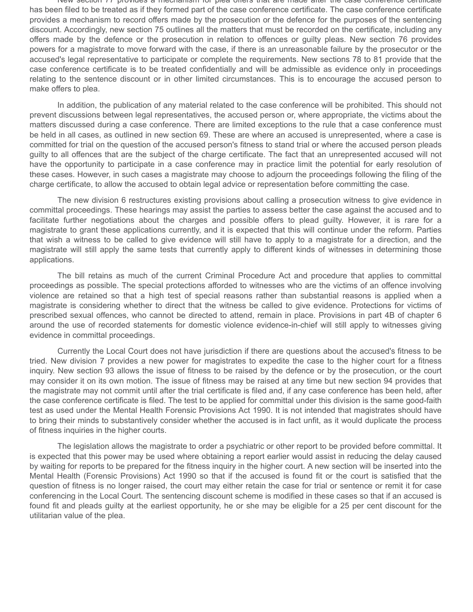New section 77 provides a mechanism for plea offers that are made after the case conference certificate has been filed to be treated as if they formed part of the case conference certificate. The case conference certificate provides a mechanism to record offers made by the prosecution or the defence for the purposes of the sentencing discount. Accordingly, new section 75 outlines all the matters that must be recorded on the certificate, including any offers made by the defence or the prosecution in relation to offences or guilty pleas. New section 76 provides powers for a magistrate to move forward with the case, if there is an unreasonable failure by the prosecutor or the accused's legal representative to participate or complete the requirements. New sections 78 to 81 provide that the case conference certificate is to be treated confidentially and will be admissible as evidence only in proceedings relating to the sentence discount or in other limited circumstances. This is to encourage the accused person to make offers to plea.

In addition, the publication of any material related to the case conference will be prohibited. This should not prevent discussions between legal representatives, the accused person or, where appropriate, the victims about the matters discussed during a case conference. There are limited exceptions to the rule that a case conference must be held in all cases, as outlined in new section 69. These are where an accused is unrepresented, where a case is committed for trial on the question of the accused person's fitness to stand trial or where the accused person pleads guilty to all offences that are the subject of the charge certificate. The fact that an unrepresented accused will not have the opportunity to participate in a case conference may in practice limit the potential for early resolution of these cases. However, in such cases a magistrate may choose to adjourn the proceedings following the filing of the charge certificate, to allow the accused to obtain legal advice or representation before committing the case.

The new division 6 restructures existing provisions about calling a prosecution witness to give evidence in committal proceedings. These hearings may assist the parties to assess better the case against the accused and to facilitate further negotiations about the charges and possible offers to plead guilty. However, it is rare for a magistrate to grant these applications currently, and it is expected that this will continue under the reform. Parties that wish a witness to be called to give evidence will still have to apply to a magistrate for a direction, and the magistrate will still apply the same tests that currently apply to different kinds of witnesses in determining those applications.

The bill retains as much of the current Criminal Procedure Act and procedure that applies to committal proceedings as possible. The special protections afforded to witnesses who are the victims of an offence involving violence are retained so that a high test of special reasons rather than substantial reasons is applied when a magistrate is considering whether to direct that the witness be called to give evidence. Protections for victims of prescribed sexual offences, who cannot be directed to attend, remain in place. Provisions in part 4B of chapter 6 around the use of recorded statements for domestic violence evidence-in-chief will still apply to witnesses giving evidence in committal proceedings.

Currently the Local Court does not have jurisdiction if there are questions about the accused's fitness to be tried. New division 7 provides a new power for magistrates to expedite the case to the higher court for a fitness inquiry. New section 93 allows the issue of fitness to be raised by the defence or by the prosecution, or the court may consider it on its own motion. The issue of fitness may be raised at any time but new section 94 provides that the magistrate may not commit until after the trial certificate is filed and, if any case conference has been held, after the case conference certificate is filed. The test to be applied for committal under this division is the same good-faith test as used under the Mental Health Forensic Provisions Act 1990. It is not intended that magistrates should have to bring their minds to substantively consider whether the accused is in fact unfit, as it would duplicate the process of fitness inquiries in the higher courts.

The legislation allows the magistrate to order a psychiatric or other report to be provided before committal. It is expected that this power may be used where obtaining a report earlier would assist in reducing the delay caused by waiting for reports to be prepared for the fitness inquiry in the higher court. A new section will be inserted into the Mental Health (Forensic Provisions) Act 1990 so that if the accused is found fit or the court is satisfied that the question of fitness is no longer raised, the court may either retain the case for trial or sentence or remit it for case conferencing in the Local Court. The sentencing discount scheme is modified in these cases so that if an accused is found fit and pleads guilty at the earliest opportunity, he or she may be eligible for a 25 per cent discount for the utilitarian value of the plea.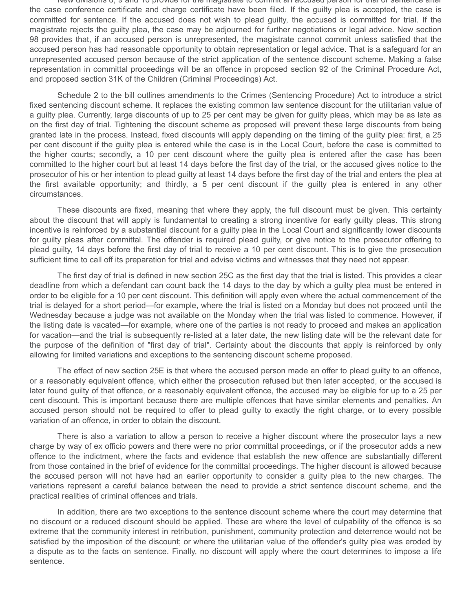New divisions 8, 9 and 10 provide for the magistrate to commit an accused person for trial or sentence after the case conference certificate and charge certificate have been filed. If the guilty plea is accepted, the case is committed for sentence. If the accused does not wish to plead guilty, the accused is committed for trial. If the magistrate rejects the guilty plea, the case may be adjourned for further negotiations or legal advice. New section 98 provides that, if an accused person is unrepresented, the magistrate cannot commit unless satisfied that the accused person has had reasonable opportunity to obtain representation or legal advice. That is a safeguard for an unrepresented accused person because of the strict application of the sentence discount scheme. Making a false representation in committal proceedings will be an offence in proposed section 92 of the Criminal Procedure Act, and proposed section 31K of the Children (Criminal Proceedings) Act.

Schedule 2 to the bill outlines amendments to the Crimes (Sentencing Procedure) Act to introduce a strict fixed sentencing discount scheme. It replaces the existing common law sentence discount for the utilitarian value of a guilty plea. Currently, large discounts of up to 25 per cent may be given for guilty pleas, which may be as late as on the first day of trial. Tightening the discount scheme as proposed will prevent these large discounts from being granted late in the process. Instead, fixed discounts will apply depending on the timing of the guilty plea: first, a 25 per cent discount if the guilty plea is entered while the case is in the Local Court, before the case is committed to the higher courts; secondly, a 10 per cent discount where the guilty plea is entered after the case has been committed to the higher court but at least 14 days before the first day of the trial, or the accused gives notice to the prosecutor of his or her intention to plead guilty at least 14 days before the first day of the trial and enters the plea at the first available opportunity; and thirdly, a 5 per cent discount if the guilty plea is entered in any other circumstances.

These discounts are fixed, meaning that where they apply, the full discount must be given. This certainty about the discount that will apply is fundamental to creating a strong incentive for early guilty pleas. This strong incentive is reinforced by a substantial discount for a guilty plea in the Local Court and significantly lower discounts for guilty pleas after committal. The offender is required plead guilty, or give notice to the prosecutor offering to plead guilty, 14 days before the first day of trial to receive a 10 per cent discount. This is to give the prosecution sufficient time to call off its preparation for trial and advise victims and witnesses that they need not appear.

The first day of trial is defined in new section 25C as the first day that the trial is listed. This provides a clear deadline from which a defendant can count back the 14 days to the day by which a guilty plea must be entered in order to be eligible for a 10 per cent discount. This definition will apply even where the actual commencement of the trial is delayed for a short period—for example, where the trial is listed on a Monday but does not proceed until the Wednesday because a judge was not available on the Monday when the trial was listed to commence. However, if the listing date is vacated—for example, where one of the parties is not ready to proceed and makes an application for vacation—and the trial is subsequently re-listed at a later date, the new listing date will be the relevant date for the purpose of the definition of "first day of trial". Certainty about the discounts that apply is reinforced by only allowing for limited variations and exceptions to the sentencing discount scheme proposed.

The effect of new section 25E is that where the accused person made an offer to plead guilty to an offence, or a reasonably equivalent offence, which either the prosecution refused but then later accepted, or the accused is later found guilty of that offence, or a reasonably equivalent offence, the accused may be eligible for up to a 25 per cent discount. This is important because there are multiple offences that have similar elements and penalties. An accused person should not be required to offer to plead guilty to exactly the right charge, or to every possible variation of an offence, in order to obtain the discount.

There is also a variation to allow a person to receive a higher discount where the prosecutor lays a new charge by way of ex officio powers and there were no prior committal proceedings, or if the prosecutor adds a new offence to the indictment, where the facts and evidence that establish the new offence are substantially different from those contained in the brief of evidence for the committal proceedings. The higher discount is allowed because the accused person will not have had an earlier opportunity to consider a guilty plea to the new charges. The variations represent a careful balance between the need to provide a strict sentence discount scheme, and the practical realities of criminal offences and trials.

In addition, there are two exceptions to the sentence discount scheme where the court may determine that no discount or a reduced discount should be applied. These are where the level of culpability of the offence is so extreme that the community interest in retribution, punishment, community protection and deterrence would not be satisfied by the imposition of the discount; or where the utilitarian value of the offender's guilty plea was eroded by a dispute as to the facts on sentence. Finally, no discount will apply where the court determines to impose a life sentence.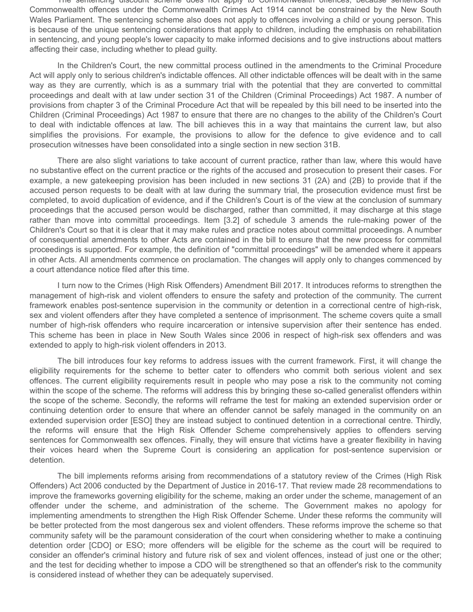The sentencing discount scheme does not apply to Commonwealth offences, because sentences for Commonwealth offences under the Commonwealth Crimes Act 1914 cannot be constrained by the New South Wales Parliament. The sentencing scheme also does not apply to offences involving a child or young person. This is because of the unique sentencing considerations that apply to children, including the emphasis on rehabilitation in sentencing, and young people's lower capacity to make informed decisions and to give instructions about matters affecting their case, including whether to plead guilty.

In the Children's Court, the new committal process outlined in the amendments to the Criminal Procedure Act will apply only to serious children's indictable offences. All other indictable offences will be dealt with in the same way as they are currently, which is as a summary trial with the potential that they are converted to committal proceedings and dealt with at law under section 31 of the Children (Criminal Proceedings) Act 1987. A number of provisions from chapter 3 of the Criminal Procedure Act that will be repealed by this bill need to be inserted into the Children (Criminal Proceedings) Act 1987 to ensure that there are no changes to the ability of the Children's Court to deal with indictable offences at law. The bill achieves this in a way that maintains the current law, but also simplifies the provisions. For example, the provisions to allow for the defence to give evidence and to call prosecution witnesses have been consolidated into a single section in new section 31B.

There are also slight variations to take account of current practice, rather than law, where this would have no substantive effect on the current practice or the rights of the accused and prosecution to present their cases. For example, a new gatekeeping provision has been included in new sections 31 (2A) and (2B) to provide that if the accused person requests to be dealt with at law during the summary trial, the prosecution evidence must first be completed, to avoid duplication of evidence, and if the Children's Court is of the view at the conclusion of summary proceedings that the accused person would be discharged, rather than committed, it may discharge at this stage rather than move into committal proceedings. Item [3.2] of schedule 3 amends the rule-making power of the Children's Court so that it is clear that it may make rules and practice notes about committal proceedings. A number of consequential amendments to other Acts are contained in the bill to ensure that the new process for committal proceedings is supported. For example, the definition of "committal proceedings" will be amended where it appears in other Acts. All amendments commence on proclamation. The changes will apply only to changes commenced by a court attendance notice filed after this time.

I turn now to the Crimes (High Risk Offenders) Amendment Bill 2017. It introduces reforms to strengthen the management of high-risk and violent offenders to ensure the safety and protection of the community. The current framework enables post-sentence supervision in the community or detention in a correctional centre of high-risk, sex and violent offenders after they have completed a sentence of imprisonment. The scheme covers quite a small number of high-risk offenders who require incarceration or intensive supervision after their sentence has ended. This scheme has been in place in New South Wales since 2006 in respect of high-risk sex offenders and was extended to apply to high-risk violent offenders in 2013.

The bill introduces four key reforms to address issues with the current framework. First, it will change the eligibility requirements for the scheme to better cater to offenders who commit both serious violent and sex offences. The current eligibility requirements result in people who may pose a risk to the community not coming within the scope of the scheme. The reforms will address this by bringing these so-called generalist offenders within the scope of the scheme. Secondly, the reforms will reframe the test for making an extended supervision order or continuing detention order to ensure that where an offender cannot be safely managed in the community on an extended supervision order [ESO] they are instead subject to continued detention in a correctional centre. Thirdly, the reforms will ensure that the High Risk Offender Scheme comprehensively applies to offenders serving sentences for Commonwealth sex offences. Finally, they will ensure that victims have a greater flexibility in having their voices heard when the Supreme Court is considering an application for post-sentence supervision or detention.

The bill implements reforms arising from recommendations of a statutory review of the Crimes (High Risk Offenders) Act 2006 conducted by the Department of Justice in 2016-17. That review made 28 recommendations to improve the frameworks governing eligibility for the scheme, making an order under the scheme, management of an offender under the scheme, and administration of the scheme. The Government makes no apology for implementing amendments to strengthen the High Risk Offender Scheme. Under these reforms the community will be better protected from the most dangerous sex and violent offenders. These reforms improve the scheme so that community safety will be the paramount consideration of the court when considering whether to make a continuing detention order [CDO] or ESO; more offenders will be eligible for the scheme as the court will be required to consider an offender's criminal history and future risk of sex and violent offences, instead of just one or the other; and the test for deciding whether to impose a CDO will be strengthened so that an offender's risk to the community is considered instead of whether they can be adequately supervised.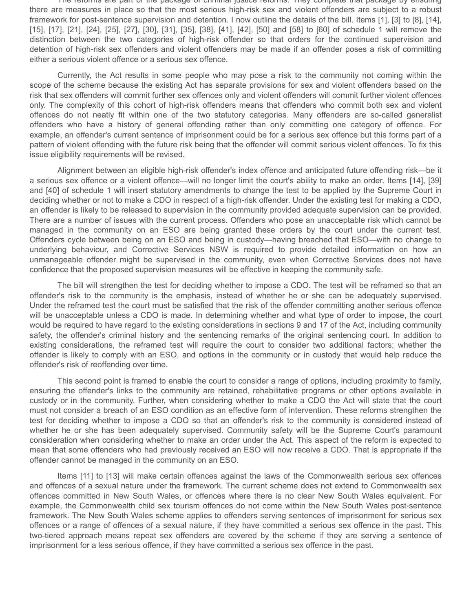The reforms are part of the package of criminal justice reforms. They complete that package by ensuring there are measures in place so that the most serious high-risk sex and violent offenders are subject to a robust framework for post-sentence supervision and detention. I now outline the details of the bill. Items [1], [3] to [8], [14], [15], [17], [21], [24], [25], [27], [30], [31], [35], [38], [41], [42], [50] and [58] to [60] of schedule 1 will remove the distinction between the two categories of high-risk offender so that orders for the continued supervision and detention of high-risk sex offenders and violent offenders may be made if an offender poses a risk of committing either a serious violent offence or a serious sex offence.

Currently, the Act results in some people who may pose a risk to the community not coming within the scope of the scheme because the existing Act has separate provisions for sex and violent offenders based on the risk that sex offenders will commit further sex offences only and violent offenders will commit further violent offences only. The complexity of this cohort of high-risk offenders means that offenders who commit both sex and violent offences do not neatly fit within one of the two statutory categories. Many offenders are so-called generalist offenders who have a history of general offending rather than only committing one category of offence. For example, an offender's current sentence of imprisonment could be for a serious sex offence but this forms part of a pattern of violent offending with the future risk being that the offender will commit serious violent offences. To fix this issue eligibility requirements will be revised.

Alignment between an eligible high-risk offender's index offence and anticipated future offending risk—be it a serious sex offence or a violent offence—will no longer limit the court's ability to make an order. Items [14], [39] and [40] of schedule 1 will insert statutory amendments to change the test to be applied by the Supreme Court in deciding whether or not to make a CDO in respect of a high-risk offender. Under the existing test for making a CDO, an offender is likely to be released to supervision in the community provided adequate supervision can be provided. There are a number of issues with the current process. Offenders who pose an unacceptable risk which cannot be managed in the community on an ESO are being granted these orders by the court under the current test. Offenders cycle between being on an ESO and being in custody—having breached that ESO—with no change to underlying behaviour, and Corrective Services NSW is required to provide detailed information on how an unmanageable offender might be supervised in the community, even when Corrective Services does not have confidence that the proposed supervision measures will be effective in keeping the community safe.

The bill will strengthen the test for deciding whether to impose a CDO. The test will be reframed so that an offender's risk to the community is the emphasis, instead of whether he or she can be adequately supervised. Under the reframed test the court must be satisfied that the risk of the offender committing another serious offence will be unacceptable unless a CDO is made. In determining whether and what type of order to impose, the court would be required to have regard to the existing considerations in sections 9 and 17 of the Act, including community safety, the offender's criminal history and the sentencing remarks of the original sentencing court. In addition to existing considerations, the reframed test will require the court to consider two additional factors; whether the offender is likely to comply with an ESO, and options in the community or in custody that would help reduce the offender's risk of reoffending over time.

This second point is framed to enable the court to consider a range of options, including proximity to family, ensuring the offender's links to the community are retained, rehabilitative programs or other options available in custody or in the community. Further, when considering whether to make a CDO the Act will state that the court must not consider a breach of an ESO condition as an effective form of intervention. These reforms strengthen the test for deciding whether to impose a CDO so that an offender's risk to the community is considered instead of whether he or she has been adequately supervised. Community safety will be the Supreme Court's paramount consideration when considering whether to make an order under the Act. This aspect of the reform is expected to mean that some offenders who had previously received an ESO will now receive a CDO. That is appropriate if the offender cannot be managed in the community on an ESO.

Items [11] to [13] will make certain offences against the laws of the Commonwealth serious sex offences and offences of a sexual nature under the framework. The current scheme does not extend to Commonwealth sex offences committed in New South Wales, or offences where there is no clear New South Wales equivalent. For example, the Commonwealth child sex tourism offences do not come within the New South Wales post-sentence framework. The New South Wales scheme applies to offenders serving sentences of imprisonment for serious sex offences or a range of offences of a sexual nature, if they have committed a serious sex offence in the past. This two-tiered approach means repeat sex offenders are covered by the scheme if they are serving a sentence of imprisonment for a less serious offence, if they have committed a serious sex offence in the past.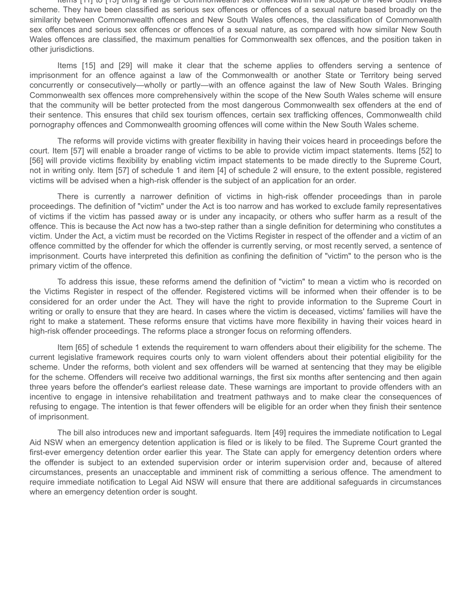Items [11] to [13] bring a range of Commonwealth sex offences within the scope of the New South Wales scheme. They have been classified as serious sex offences or offences of a sexual nature based broadly on the similarity between Commonwealth offences and New South Wales offences, the classification of Commonwealth sex offences and serious sex offences or offences of a sexual nature, as compared with how similar New South Wales offences are classified, the maximum penalties for Commonwealth sex offences, and the position taken in other jurisdictions.

Items [15] and [29] will make it clear that the scheme applies to offenders serving a sentence of imprisonment for an offence against a law of the Commonwealth or another State or Territory being served concurrently or consecutively—wholly or partly—with an offence against the law of New South Wales. Bringing Commonwealth sex offences more comprehensively within the scope of the New South Wales scheme will ensure that the community will be better protected from the most dangerous Commonwealth sex offenders at the end of their sentence. This ensures that child sex tourism offences, certain sex trafficking offences, Commonwealth child pornography offences and Commonwealth grooming offences will come within the New South Wales scheme.

The reforms will provide victims with greater flexibility in having their voices heard in proceedings before the court. Item [57] will enable a broader range of victims to be able to provide victim impact statements. Items [52] to [56] will provide victims flexibility by enabling victim impact statements to be made directly to the Supreme Court, not in writing only. Item [57] of schedule 1 and item [4] of schedule 2 will ensure, to the extent possible, registered victims will be advised when a high-risk offender is the subject of an application for an order.

There is currently a narrower definition of victims in high-risk offender proceedings than in parole proceedings. The definition of "victim" under the Act is too narrow and has worked to exclude family representatives of victims if the victim has passed away or is under any incapacity, or others who suffer harm as a result of the offence. This is because the Act now has a two-step rather than a single definition for determining who constitutes a victim. Under the Act, a victim must be recorded on the Victims Register in respect of the offender and a victim of an offence committed by the offender for which the offender is currently serving, or most recently served, a sentence of imprisonment. Courts have interpreted this definition as confining the definition of "victim" to the person who is the primary victim of the offence.

To address this issue, these reforms amend the definition of "victim" to mean a victim who is recorded on the Victims Register in respect of the offender. Registered victims will be informed when their offender is to be considered for an order under the Act. They will have the right to provide information to the Supreme Court in writing or orally to ensure that they are heard. In cases where the victim is deceased, victims' families will have the right to make a statement. These reforms ensure that victims have more flexibility in having their voices heard in high-risk offender proceedings. The reforms place a stronger focus on reforming offenders.

Item [65] of schedule 1 extends the requirement to warn offenders about their eligibility for the scheme. The current legislative framework requires courts only to warn violent offenders about their potential eligibility for the scheme. Under the reforms, both violent and sex offenders will be warned at sentencing that they may be eligible for the scheme. Offenders will receive two additional warnings, the first six months after sentencing and then again three years before the offender's earliest release date. These warnings are important to provide offenders with an incentive to engage in intensive rehabilitation and treatment pathways and to make clear the consequences of refusing to engage. The intention is that fewer offenders will be eligible for an order when they finish their sentence of imprisonment.

The bill also introduces new and important safeguards. Item [49] requires the immediate notification to Legal Aid NSW when an emergency detention application is filed or is likely to be filed. The Supreme Court granted the first-ever emergency detention order earlier this year. The State can apply for emergency detention orders where the offender is subject to an extended supervision order or interim supervision order and, because of altered circumstances, presents an unacceptable and imminent risk of committing a serious offence. The amendment to require immediate notification to Legal Aid NSW will ensure that there are additional safeguards in circumstances where an emergency detention order is sought.